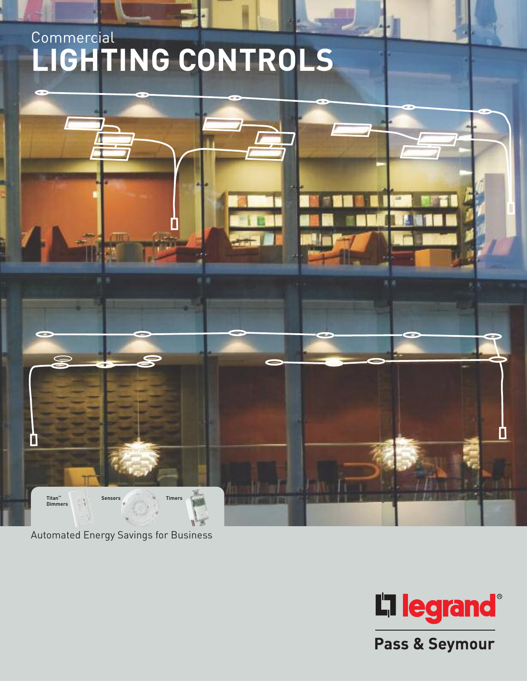# **Commercial LIGHTING CONTROLS**



Automated Energy Savings for Business



Pass & Seymour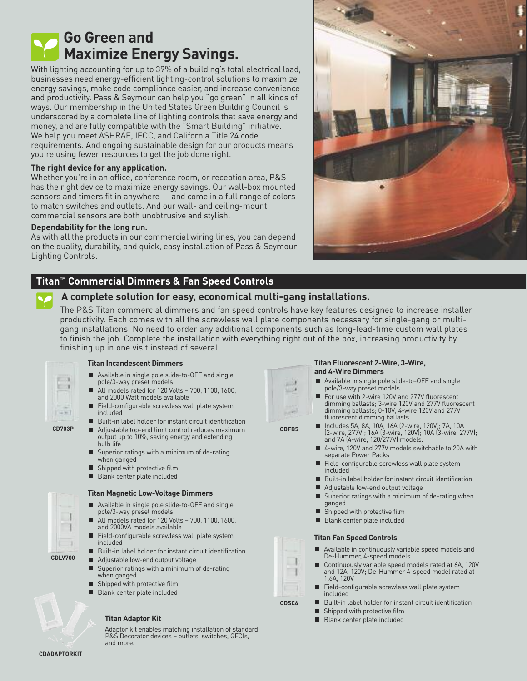# **Go Green and Maximize Energy Savings.**

With lighting accounting for up to 39% of a building's total electrical load, businesses need energy-efficient lighting-control solutions to maximize energy savings, make code compliance easier, and increase convenience and productivity. Pass & Seymour can help you "go green" in all kinds of ways. Our membership in the United States Green Building Council is underscored by a complete line of lighting controls that save energy and money, and are fully compatible with the "Smart Building" initiative. We help you meet ASHRAE, IECC, and California Title 24 code requirements. And ongoing sustainable design for our products means you're using fewer resources to get the job done right.

# **The right device for any application.**

Whether you're in an office, conference room, or reception area, P&S has the right device to maximize energy savings. Our wall-box mounted sensors and timers fit in anywhere — and come in a full range of colors to match switches and outlets. And our wall- and ceiling-mount commercial sensors are both unobtrusive and stylish.

# **Dependability for the long run.**

As with all the products in our commercial wiring lines, you can depend on the quality, durability, and quick, easy installation of Pass & Seymour Lighting Controls.

# **Titan™ Commercial Dimmers & Fan Speed Controls**

# **A complete solution for easy, economical multi-gang installations.**

The P&S Titan commercial dimmers and fan speed controls have key features designed to increase installer productivity. Each comes with all the screwless wall plate components necessary for single-gang or multigang installations. No need to order any additional components such as long-lead-time custom wall plates to finish the job. Complete the installation with everything right out of the box, increasing productivity by finishing up in one visit instead of several.



**CD703P**

# **Titan Incandescent Dimmers**

- Available in single pole slide-to-OFF and single pole/3-way preset models
- All models rated for 120 Volts 700, 1100, 1600, Г and 2000 Watt models available
- Field-configurable screwless wall plate system included
- Built-in label holder for instant circuit identification
- Adjustable top-end limit control reduces maximum output up to 10%, saving energy and extending bulb life
- $\blacksquare$  Superior ratings with a minimum of de-rating when ganged
- Shipped with protective film
- Blank center plate included п



## **Titan Magnetic Low-Voltage Dimmers**

- **Available in single pole slide-to-OFF and single** pole/3-way preset models
- All models rated for 120 Volts 700, 1100, 1600, and 2000VA models available
- Field-configurable screwless wall plate system included
- Built-in label holder for instant circuit identification
- Adjustable low-end output voltage
- Superior ratings with a minimum of de-rating when ganged
- **Shipped with protective film**
- **Blank center plate included**

# **Titan Adaptor Kit**

Adaptor kit enables matching installation of standard P&S Decorator devices - outlets, switches, GFCIs, and more.



### **Titan Fluorescent 2-Wire, 3-Wire, and 4-Wire Dimmers**

- Available in single pole slide-to-OFF and single pole/3-way preset models
- For use with 2-wire 120V and 277V fluorescent dimming ballasts; 3-wire 120V and 277V fluorescent dimming ballasts; 0-10V, 4-wire 120V and 277V fluorescent dimming ballasts
- 
- Includes 5A, 8A, 10A, 16A (2-wire, 120V); 7A, 10A (2-wire, 277V); 16A (3-wire, 120V); 10A (3-wire, 277V); and 7A (4-wire, 120/277V) models.
- 4-wire, 120V and 277V models switchable to 20A with separate Power Packs
- Field-configurable screwless wall plate system П included
- $\blacksquare$  Built-in label holder for instant circuit identification
- Adjustable low-end output voltage
- $\blacksquare$  Superior ratings with a minimum of de-rating when ganged
- Shipped with protective film
- Blank center plate included

## **Titan Fan Speed Controls**

- Available in continuously variable speed models and De-Hummer, 4-speed models
- П Continuously variable speed models rated at 6A, 120V and 12A, 120V; De-Hummer 4-speed model rated at 1.6A, 120V
- Field-configurable screwless wall plate system included
- Built-in label holder for instant circuit identification
- Shipped with protective film
- Blank center plate included

**CDADAPTORKIT**



**CDFB5**

**CDSC6**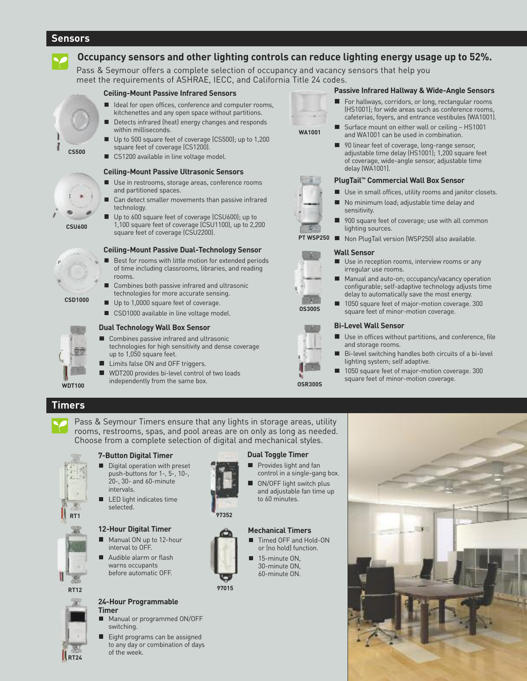# **Sensors**



# **Occupancy sensors and other lighting controls can reduce lighting energy usage up to 52%.**

Pass & Seymour offers a complete selection of occupancy and vacancy sensors that help you meet the requirements of ASHRAE, IECC, and California Title 24 codes.

#### **Ceiling-Mount Passive Infrared Sensors**

- Ideal for open offices, conference and computer rooms, kitchenettes and any open space without partitions.
- Detects infrared (heat) energy changes and responds within milliseconds.
- Up to 500 square feet of coverage (CS500); up to 1,200 square feet of coverage (CS1200).
- CS1200 available in line voltage model.

#### **Ceiling-Mount Passive Ultrasonic Sensors**

- Use in restrooms, storage areas, conference rooms and partitioned spaces.
- Can detect smaller movements than passive infrared technology.
- Up to 600 square feet of coverage (CSU600); up to 1,100 square feet of coverage (CSU1100), up to 2,200 square feet of coverage (CSU2200).

# **Ceiling-Mount Passive Dual-Technology Sensor**

- Best for rooms with little motion for extended periods of time including classrooms, libraries, and reading rooms.
- Combines both passive infrared and ultrasonic technologies for more accurate sensing.
- Up to 1,0000 square feet of coverage.
- CSD1000 available in line voltage model.

#### **Dual Technology Wall Box Sensor**

- Combines passive infrared and ultrasonic technologies for high sensitivity and dense coverage up to 1,050 square feet.
- Limits false ON and OFF triggers.
- Е WDT200 provides bi-level control of two loads independently from the same box.



#### **Passive Infrared Hallway & Wide-Angle Sensors**

- For hallways, corridors, or long, rectangular rooms (HS1001); for wide areas such as conference rooms, cafeterias, foyers, and entrance vestibules (WA1001).
- Surface mount on either wall or ceiling HS1001 ш and WA1001 can be used in combination.
- 90 linear feet of coverage, long-range sensor, adjustable time delay (HS1001); 1,200 square feet of coverage, wide-angle sensor, adjustable time delay (WA1001).

#### **PlugTail ™ Commercial Wall Box Sensor**

- П Use in small offices, utility rooms and janitor closets.
- No minimum load; adjustable time delay and sensitivity.
- 900 square feet of coverage; use with all common lighting sources.
- Non PlugTail version (WSP250) also available.

#### **Wall Sensor**

- Use in reception rooms, interview rooms or any irregular use rooms.
- Manual and auto-on; occupancy/vacancy operation configurable; self-adaptive technology adjusts time delay to automatically save the most energy.
- 1050 square feet of major-motion coverage. 300 square feet of minor-motion coverage.

#### **Bi-Level Wall Sensor**

- Use in offices without partitions, and conference, file and storage rooms.
- Bi-level switching handles both circuits of a bi-level lighting system; self adaptive.
- 1050 square feet of major-motion coverage. 300 square feet of minor-motion coverage.

# **Timers**

**WDT100**

Pass & Seymour Timers ensure that any lights in storage areas, utility rooms, restrooms, spas, and pool areas are on only as long as needed. Choose from a complete selection of digital and mechanical styles.



**RT24**

#### **7-Button Digital Timer**

- Digital operation with preset push-buttons for 1-, 5-, 10-, 20-, 30- and 60-minute intervals.
- LED light indicates time selected.

#### **12-Hour Digital Timer**

- Manual ON up to 12-hour interval to OFF.
- $\blacksquare$  Audible alarm or flash warns occupants before automatic OFF.



- Manual or programmed ON/OFF switching.
- Eight programs can be assigned П to any day or combination of days of the week.



#### **Dual Toggle Timer**

- **Provides light and fan** control in a single-gang box.
- ON/OFF light switch plus П and adjustable fan time up to 60 minutes.

#### **Mechanical Timers**

- Timed OFF and Hold-ON or (no hold) function.
- 15-minute ON, 30-minute ON, 60-minute ON.
- **97015**





**OSR300S**

**OS300S**

**CONTROL** 

**PT WSP250**











**CS500**